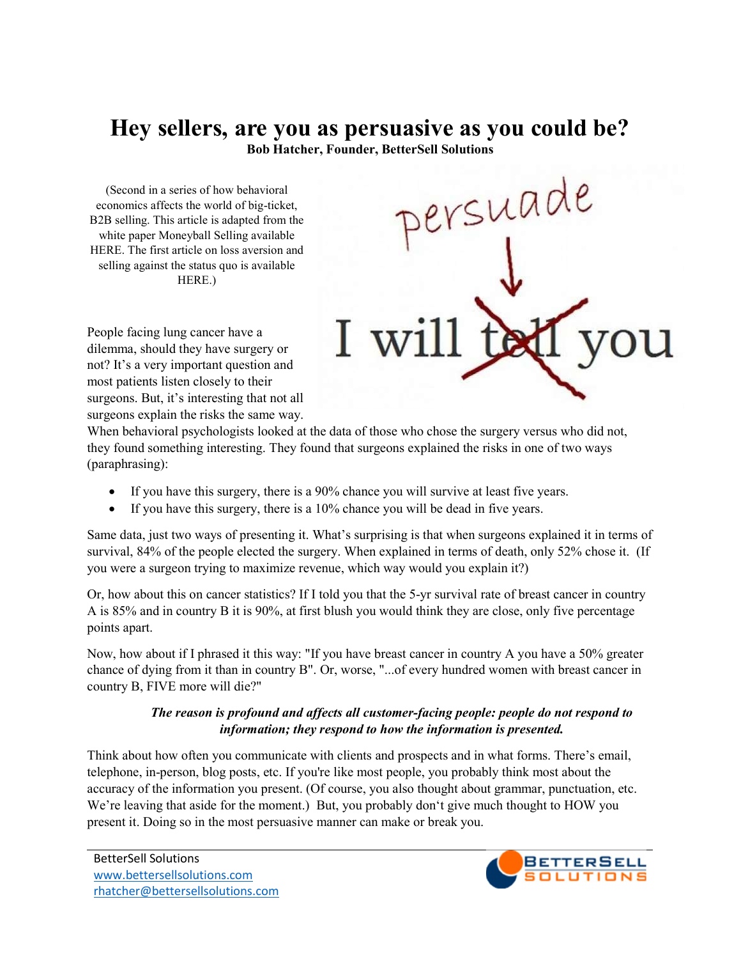## Hey sellers, are you as persuasive as you could be?

Bob Hatcher, Founder, BetterSell Solutions

(Second in a series of how behavioral economics affects the world of big-ticket, B2B selling. This article is adapted from the white paper Moneyball Selling available HERE. The first article on loss aversion and selling against the status quo is available HERE.)



People facing lung cancer have a dilemma, should they have surgery or not? It's a very important question and most patients listen closely to their surgeons. But, it's interesting that not all surgeons explain the risks the same way.

When behavioral psychologists looked at the data of those who chose the surgery versus who did not, they found something interesting. They found that surgeons explained the risks in one of two ways (paraphrasing):

- If you have this surgery, there is a 90% chance you will survive at least five years.
- If you have this surgery, there is a  $10\%$  chance you will be dead in five years.

Same data, just two ways of presenting it. What's surprising is that when surgeons explained it in terms of survival, 84% of the people elected the surgery. When explained in terms of death, only 52% chose it. (If you were a surgeon trying to maximize revenue, which way would you explain it?)

Or, how about this on cancer statistics? If I told you that the 5-yr survival rate of breast cancer in country A is 85% and in country B it is 90%, at first blush you would think they are close, only five percentage points apart.

Now, how about if I phrased it this way: "If you have breast cancer in country A you have a 50% greater chance of dying from it than in country B". Or, worse, "...of every hundred women with breast cancer in country B, FIVE more will die?"

## The reason is profound and affects all customer-facing people: people do not respond to information; they respond to how the information is presented.

Think about how often you communicate with clients and prospects and in what forms. There's email, telephone, in-person, blog posts, etc. If you're like most people, you probably think most about the accuracy of the information you present. (Of course, you also thought about grammar, punctuation, etc. We're leaving that aside for the moment.) But, you probably don't give much thought to HOW you present it. Doing so in the most persuasive manner can make or break you.